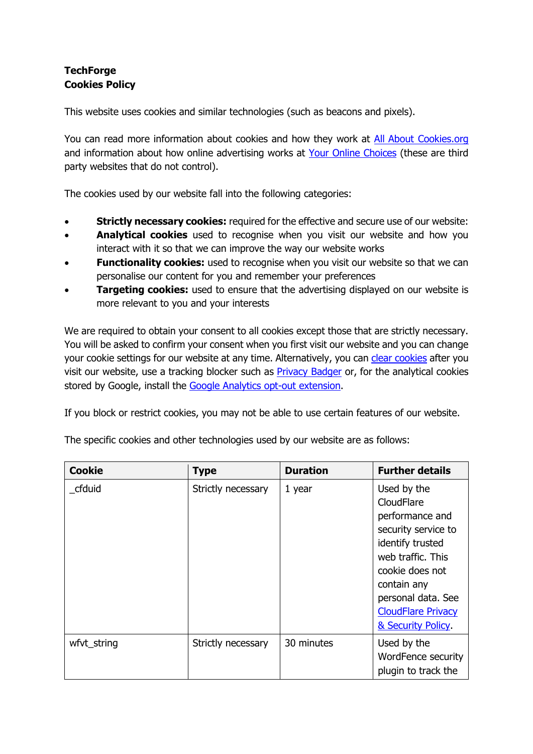## **TechForge Cookies Policy**

This website uses cookies and similar technologies (such as beacons and pixels).

You can read more information about cookies and how they work at [All About Cookies.org](http://www.allaboutcookies.org/) and information about how online advertising works at [Your Online Choices](http://www.youronlinechoices.eu/) (these are third party websites that do not control).

The cookies used by our website fall into the following categories:

- **Strictly necessary cookies:** required for the effective and secure use of our website:
- **Analytical cookies** used to recognise when you visit our website and how you interact with it so that we can improve the way our website works
- **Functionality cookies:** used to recognise when you visit our website so that we can personalise our content for you and remember your preferences
- **Targeting cookies:** used to ensure that the advertising displayed on our website is more relevant to you and your interests

We are required to obtain your consent to all cookies except those that are strictly necessary. You will be asked to confirm your consent when you first visit our website and you can change your cookie settings for our website at any time. Alternatively, you can [clear cookies](http://www.allaboutcookies.org/manage-cookies/) after you visit our website, use a tracking blocker such as **Privacy Badger or, for the analytical cookies** stored by Google, install the [Google Analytics opt-out extension.](https://tools.google.com/dlpage/gaoptout)

If you block or restrict cookies, you may not be able to use certain features of our website.

| <b>Cookie</b> | <b>Type</b>        | <b>Duration</b> | <b>Further details</b>                                                                                                                                                                                                 |
|---------------|--------------------|-----------------|------------------------------------------------------------------------------------------------------------------------------------------------------------------------------------------------------------------------|
| cfduid        | Strictly necessary | 1 year          | Used by the<br>CloudFlare<br>performance and<br>security service to<br>identify trusted<br>web traffic. This<br>cookie does not<br>contain any<br>personal data. See<br><b>CloudFlare Privacy</b><br>& Security Policy |
| wfvt_string   | Strictly necessary | 30 minutes      | Used by the<br>WordFence security<br>plugin to track the                                                                                                                                                               |

The specific cookies and other technologies used by our website are as follows: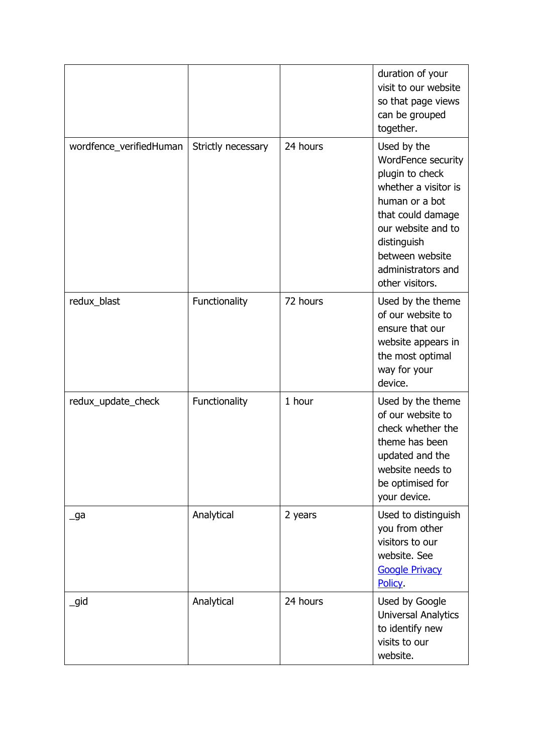|                             |                    |          | duration of your<br>visit to our website<br>so that page views<br>can be grouped<br>together.                                                                                                                        |
|-----------------------------|--------------------|----------|----------------------------------------------------------------------------------------------------------------------------------------------------------------------------------------------------------------------|
| wordfence_verifiedHuman     | Strictly necessary | 24 hours | Used by the<br>WordFence security<br>plugin to check<br>whether a visitor is<br>human or a bot<br>that could damage<br>our website and to<br>distinguish<br>between website<br>administrators and<br>other visitors. |
| redux_blast                 | Functionality      | 72 hours | Used by the theme<br>of our website to<br>ensure that our<br>website appears in<br>the most optimal<br>way for your<br>device.                                                                                       |
| redux_update_check          | Functionality      | 1 hour   | Used by the theme<br>of our website to<br>check whether the<br>theme has been<br>updated and the<br>website needs to<br>be optimised for<br>your device.                                                             |
| $\overline{\phantom{a}}$ ga | Analytical         | 2 years  | Used to distinguish<br>you from other<br>visitors to our<br>website. See<br><b>Google Privacy</b><br><b>Policy</b>                                                                                                   |
| _gid                        | Analytical         | 24 hours | Used by Google<br><b>Universal Analytics</b><br>to identify new<br>visits to our<br>website.                                                                                                                         |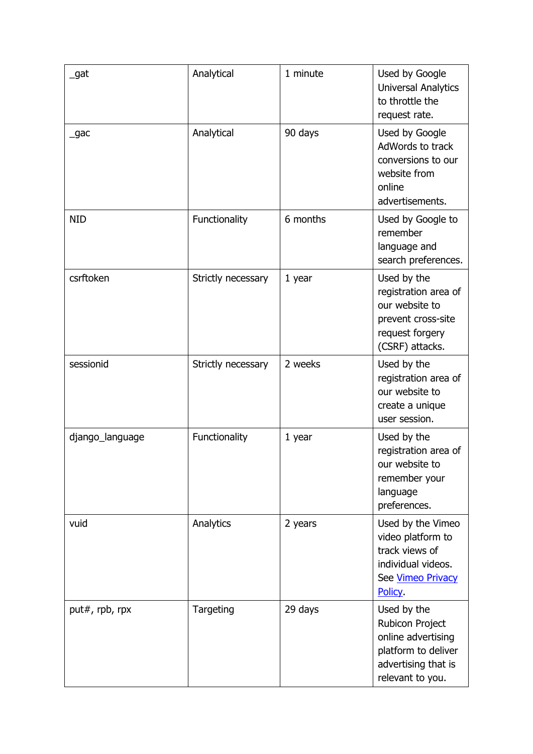| _gat            | Analytical         | 1 minute | Used by Google<br>Universal Analytics<br>to throttle the<br>request rate.                                              |
|-----------------|--------------------|----------|------------------------------------------------------------------------------------------------------------------------|
| _gac            | Analytical         | 90 days  | Used by Google<br>AdWords to track<br>conversions to our<br>website from<br>online<br>advertisements.                  |
| <b>NID</b>      | Functionality      | 6 months | Used by Google to<br>remember<br>language and<br>search preferences.                                                   |
| csrftoken       | Strictly necessary | $1$ year | Used by the<br>registration area of<br>our website to<br>prevent cross-site<br>request forgery<br>(CSRF) attacks.      |
| sessionid       | Strictly necessary | 2 weeks  | Used by the<br>registration area of<br>our website to<br>create a unique<br>user session.                              |
| django_language | Functionality      | $1$ year | Used by the<br>registration area of<br>our website to<br>remember your<br>language<br>preferences.                     |
| vuid            | Analytics          | 2 years  | Used by the Vimeo<br>video platform to<br>track views of<br>individual videos.<br>See Vimeo Privacy<br><b>Policy</b>   |
| put#, rpb, rpx  | Targeting          | 29 days  | Used by the<br>Rubicon Project<br>online advertising<br>platform to deliver<br>advertising that is<br>relevant to you. |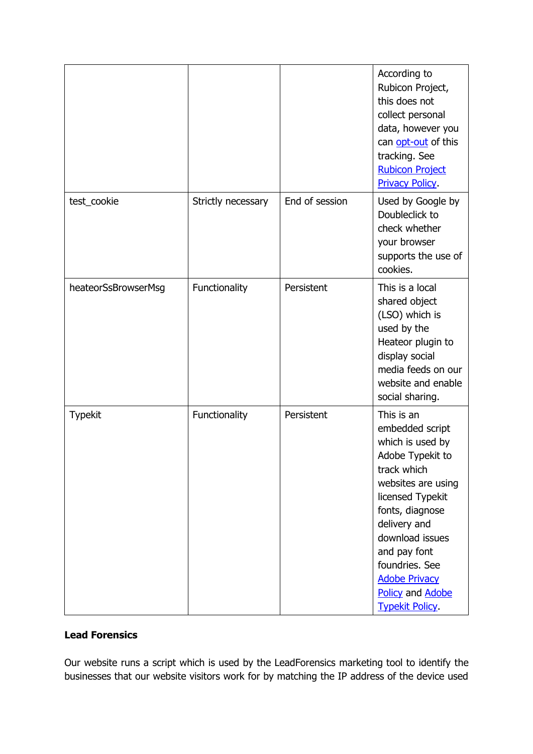|                     |                    |                | According to<br>Rubicon Project,<br>this does not<br>collect personal<br>data, however you<br>can opt-out of this<br>tracking. See<br><b>Rubicon Project</b><br><b>Privacy Policy</b>                                                                                                       |
|---------------------|--------------------|----------------|---------------------------------------------------------------------------------------------------------------------------------------------------------------------------------------------------------------------------------------------------------------------------------------------|
| test_cookie         | Strictly necessary | End of session | Used by Google by<br>Doubleclick to<br>check whether<br>your browser<br>supports the use of<br>cookies.                                                                                                                                                                                     |
| heateorSsBrowserMsg | Functionality      | Persistent     | This is a local<br>shared object<br>(LSO) which is<br>used by the<br>Heateor plugin to<br>display social<br>media feeds on our<br>website and enable<br>social sharing.                                                                                                                     |
| <b>Typekit</b>      | Functionality      | Persistent     | This is an<br>embedded script<br>which is used by<br>Adobe Typekit to<br>track which<br>websites are using<br>licensed Typekit<br>fonts, diagnose<br>delivery and<br>download issues<br>and pay font<br>foundries. See<br><b>Adobe Privacy</b><br>Policy and Adobe<br><b>Typekit Policy</b> |

## **Lead Forensics**

Our website runs a script which is used by the LeadForensics marketing tool to identify the businesses that our website visitors work for by matching the IP address of the device used